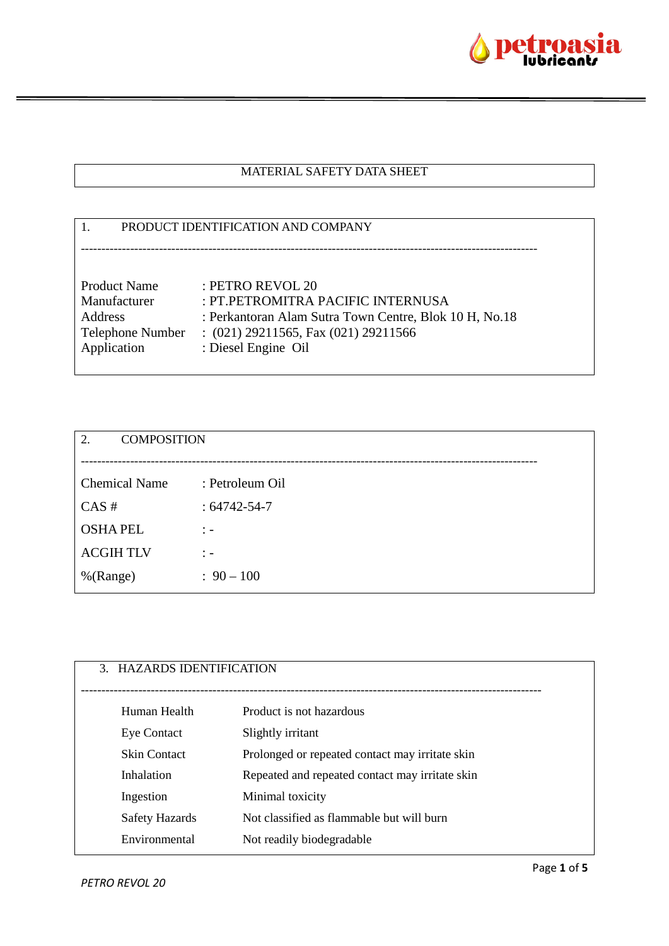

### MATERIAL SAFETY DATA SHEET

# 1. PRODUCT IDENTIFICATION AND COMPANY --------------------------------------------------------------------------------------------------------------- Product Name : PETRO REVOL 20 Manufacturer : PT.PETROMITRA PACIFIC INTERNUSA Address : Perkantoran Alam Sutra Town Centre, Blok 10 H, No.18 Telephone Number : (021) 29211565, Fax (021) 29211566 Application : Diesel Engine Oil

| 2.<br><b>COMPOSITION</b> |                   |
|--------------------------|-------------------|
|                          |                   |
| <b>Chemical Name</b>     | : Petroleum Oil   |
| CAS#                     | $:64742 - 54 - 7$ |
| <b>OSHAPEL</b>           | $\therefore$      |
| <b>ACGIHTLV</b>          | $\therefore$      |
| %(Range)                 | $: 90 - 100$      |
|                          |                   |

| 3. HAZARDS IDENTIFICATION |                                                 |
|---------------------------|-------------------------------------------------|
| Human Health              | Product is not hazardous                        |
| <b>Eye Contact</b>        | Slightly irritant                               |
| <b>Skin Contact</b>       | Prolonged or repeated contact may irritate skin |
| Inhalation                | Repeated and repeated contact may irritate skin |
| Ingestion                 | Minimal toxicity                                |
| Safety Hazards            | Not classified as flammable but will burn       |
| Environmental             | Not readily biodegradable                       |
|                           |                                                 |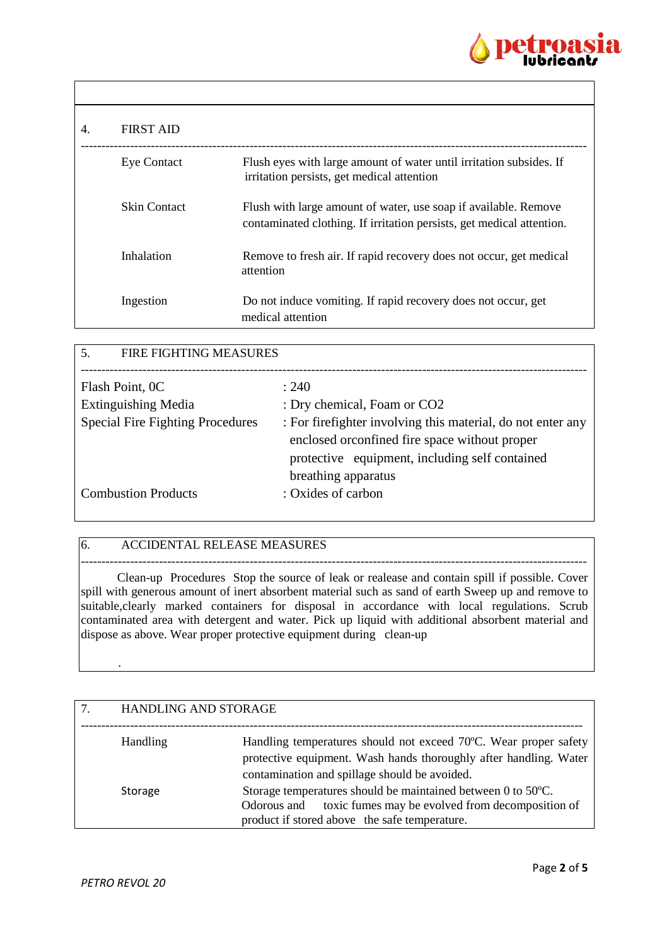

| 4. | <b>FIRST AID</b>    |                                                                                                                                          |
|----|---------------------|------------------------------------------------------------------------------------------------------------------------------------------|
|    | <b>Eye Contact</b>  | Flush eyes with large amount of water until irritation subsides. If<br>irritation persists, get medical attention                        |
|    | <b>Skin Contact</b> | Flush with large amount of water, use soap if available. Remove<br>contaminated clothing. If irritation persists, get medical attention. |
|    | Inhalation          | Remove to fresh air. If rapid recovery does not occur, get medical<br>attention                                                          |
|    | Ingestion           | Do not induce vomiting. If rapid recovery does not occur, get<br>medical attention                                                       |

| 5.<br><b>FIRE FIGHTING MEASURES</b>            |                                                              |  |
|------------------------------------------------|--------------------------------------------------------------|--|
|                                                |                                                              |  |
| Flash Point, 0C                                | : 240                                                        |  |
| <b>Extinguishing Media</b>                     | : Dry chemical, Foam or CO2                                  |  |
| <b>Special Fire Fighting Procedures</b>        | : For fire fighter involving this material, do not enter any |  |
|                                                | enclosed or confined fire space without proper               |  |
| protective equipment, including self contained |                                                              |  |
|                                                | breathing apparatus                                          |  |
| <b>Combustion Products</b>                     | : Oxides of carbon                                           |  |
|                                                |                                                              |  |

### 6. ACCIDENTAL RELEASE MEASURES

--------------------------------------------------------------------------------------------------------------------------- Clean-up Procedures Stop the source of leak or realease and contain spill if possible. Cover spill with generous amount of inert absorbent material such as sand of earth Sweep up and remove to suitable, clearly marked containers for disposal in accordance with local regulations. Scrub contaminated area with detergent and water. Pick up liquid with additional absorbent material and dispose as above. Wear proper protective equipment during clean-up

| <b>HANDLING AND STORAGE</b> |                                                                                                                                                                                        |
|-----------------------------|----------------------------------------------------------------------------------------------------------------------------------------------------------------------------------------|
| <b>Handling</b>             | Handling temperatures should not exceed 70°C. Wear proper safety<br>protective equipment. Wash hands thoroughly after handling. Water<br>contamination and spillage should be avoided. |
| Storage                     | Storage temperatures should be maintained between 0 to 50°C.<br>toxic fumes may be evolved from decomposition of<br>Odorous and<br>product if stored above the safe temperature.       |

.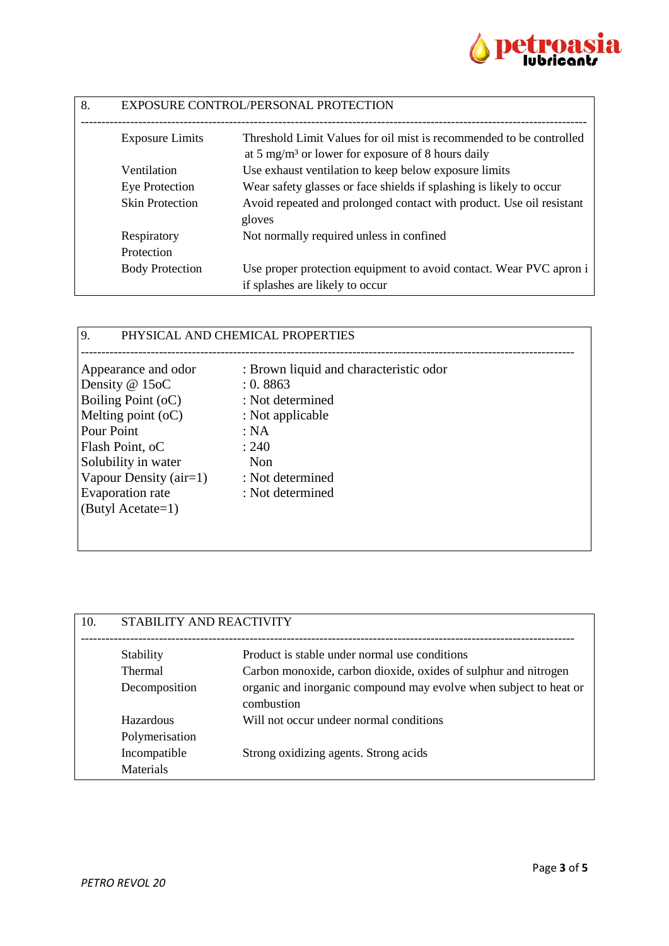

| 8. | EXPOSURE CONTROL/PERSONAL PROTECTION |                                                                                                       |
|----|--------------------------------------|-------------------------------------------------------------------------------------------------------|
|    | <b>Exposure Limits</b>               | Threshold Limit Values for oil mist is recommended to be controlled                                   |
|    |                                      | at 5 mg/m <sup>3</sup> or lower for exposure of 8 hours daily                                         |
|    | Ventilation                          | Use exhaust ventilation to keep below exposure limits                                                 |
|    | Eye Protection                       | Wear safety glasses or face shields if splashing is likely to occur                                   |
|    | <b>Skin Protection</b>               | Avoid repeated and prolonged contact with product. Use oil resistant<br>gloves                        |
|    | Respiratory                          | Not normally required unless in confined                                                              |
|    | Protection                           |                                                                                                       |
|    | <b>Body Protection</b>               | Use proper protection equipment to avoid contact. Wear PVC apron i<br>if splashes are likely to occur |

## 9. PHYSICAL AND CHEMICAL PROPERTIES

| Appearance and odor      | : Brown liquid and characteristic odor |
|--------------------------|----------------------------------------|
| Density @ 15oC           | : 0.8863                               |
| Boiling Point (oC)       | : Not determined                       |
| Melting point $(oC)$     | : Not applicable                       |
| Pour Point               | : NA                                   |
| Flash Point, oC          | : 240                                  |
| Solubility in water      | <b>Non</b>                             |
| Vapour Density $(air=1)$ | : Not determined                       |
| <b>Evaporation</b> rate  | : Not determined                       |
| (Butyl Acetate=1)        |                                        |
|                          |                                        |

| 10. | STABILITY AND REACTIVITY |                                                                                 |
|-----|--------------------------|---------------------------------------------------------------------------------|
|     | Stability                | Product is stable under normal use conditions                                   |
|     | <b>Thermal</b>           | Carbon monoxide, carbon dioxide, oxides of sulphur and nitrogen                 |
|     | Decomposition            | organic and inorganic compound may evolve when subject to heat or<br>combustion |
|     | Hazardous                | Will not occur undeer normal conditions                                         |
|     | Polymerisation           |                                                                                 |
|     | Incompatible             | Strong oxidizing agents. Strong acids                                           |
|     | Materials                |                                                                                 |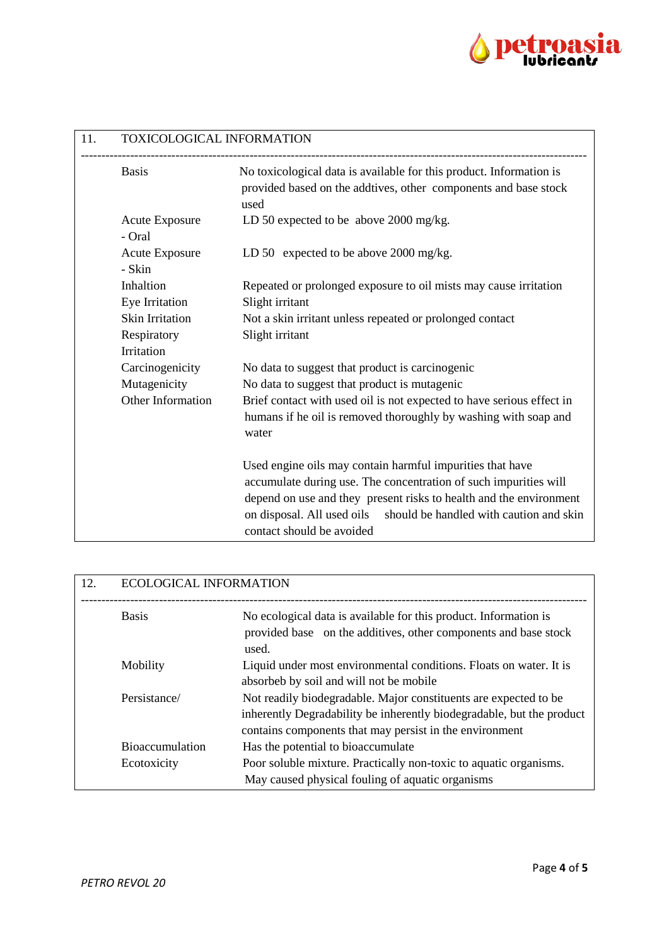

| 11. | TOXICOLOGICAL INFORMATION       |                                                                                                                                                                                                                                                                           |
|-----|---------------------------------|---------------------------------------------------------------------------------------------------------------------------------------------------------------------------------------------------------------------------------------------------------------------------|
|     | <b>Basis</b>                    | No toxicological data is available for this product. Information is<br>provided based on the addtives, other components and base stock<br>used                                                                                                                            |
|     | <b>Acute Exposure</b><br>- Oral | LD 50 expected to be above 2000 mg/kg.                                                                                                                                                                                                                                    |
|     | <b>Acute Exposure</b><br>- Skin | LD 50 expected to be above 2000 mg/kg.                                                                                                                                                                                                                                    |
|     | Inhaltion<br>Eye Irritation     | Repeated or prolonged exposure to oil mists may cause irritation<br>Slight irritant                                                                                                                                                                                       |
|     | <b>Skin Irritation</b>          | Not a skin irritant unless repeated or prolonged contact                                                                                                                                                                                                                  |
|     | Respiratory                     | Slight irritant                                                                                                                                                                                                                                                           |
|     | Irritation                      |                                                                                                                                                                                                                                                                           |
|     | Carcinogenicity                 | No data to suggest that product is carcinogenic                                                                                                                                                                                                                           |
|     | Mutagenicity                    | No data to suggest that product is mutagenic                                                                                                                                                                                                                              |
|     | Other Information               | Brief contact with used oil is not expected to have serious effect in                                                                                                                                                                                                     |
|     |                                 | humans if he oil is removed thoroughly by washing with soap and<br>water                                                                                                                                                                                                  |
|     |                                 | Used engine oils may contain harmful impurities that have<br>accumulate during use. The concentration of such impurities will<br>depend on use and they present risks to health and the environment<br>on disposal. All used oils should be handled with caution and skin |
|     |                                 | contact should be avoided                                                                                                                                                                                                                                                 |

| 12. | <b>ECOLOGICAL INFORMATION</b> |                                                                                                                                                                                                      |
|-----|-------------------------------|------------------------------------------------------------------------------------------------------------------------------------------------------------------------------------------------------|
|     | <b>Basis</b>                  | No ecological data is available for this product. Information is<br>provided base on the additives, other components and base stock<br>used.                                                         |
|     | Mobility                      | Liquid under most environmental conditions. Floats on water. It is<br>absorbeb by soil and will not be mobile                                                                                        |
|     | Persistance/                  | Not readily biodegradable. Major constituents are expected to be<br>inherently Degradability be inherently biodegradable, but the product<br>contains components that may persist in the environment |
|     | <b>Bioaccumulation</b>        | Has the potential to bioaccumulate                                                                                                                                                                   |
|     | Ecotoxicity                   | Poor soluble mixture. Practically non-toxic to aquatic organisms.<br>May caused physical fouling of aquatic organisms                                                                                |